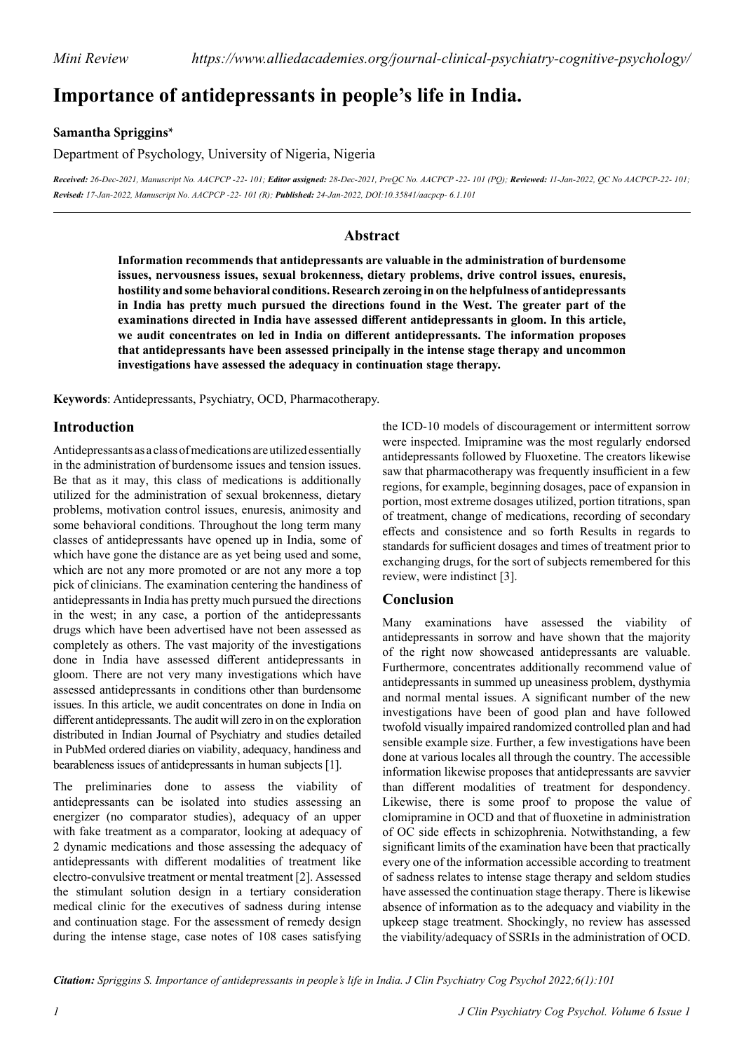# **Importance of antidepressants in people's life in India.**

**Samantha Spriggins\***

Department of Psychology, University of Nigeria, Nigeria

Received: 26-Dec-2021, Manuscript No. AACPCP -22- 101; Editor assigned: 28-Dec-2021, PreQC No. AACPCP -22- 101 (PQ); Reviewed: 11-Jan-2022, QC No AACPCP-22- 101; *Revised: 17-Jan-2022, Manuscript No. AACPCP -22- 101 (R); Published: 24-Jan-2022, DOI:10.35841/aacpcp- 6.1.101*

### **Abstract**

**Information recommends that antidepressants are valuable in the administration of burdensome issues, nervousness issues, sexual brokenness, dietary problems, drive control issues, enuresis, hostility and some behavioral conditions. Research zeroing in on the helpfulness of antidepressants in India has pretty much pursued the directions found in the West. The greater part of the examinations directed in India have assessed different antidepressants in gloom. In this article, we audit concentrates on led in India on different antidepressants. The information proposes that antidepressants have been assessed principally in the intense stage therapy and uncommon investigations have assessed the adequacy in continuation stage therapy.**

**Keywords**: Antidepressants, Psychiatry, OCD, Pharmacotherapy.

#### **Introduction**

Antidepressants as a class of medications are utilized essentially in the administration of burdensome issues and tension issues. Be that as it may, this class of medications is additionally utilized for the administration of sexual brokenness, dietary problems, motivation control issues, enuresis, animosity and some behavioral conditions. Throughout the long term many classes of antidepressants have opened up in India, some of which have gone the distance are as yet being used and some, which are not any more promoted or are not any more a top pick of clinicians. The examination centering the handiness of antidepressants in India has pretty much pursued the directions in the west; in any case, a portion of the antidepressants drugs which have been advertised have not been assessed as completely as others. The vast majority of the investigations done in India have assessed different antidepressants in gloom. There are not very many investigations which have assessed antidepressants in conditions other than burdensome issues. In this article, we audit concentrates on done in India on different antidepressants. The audit will zero in on the exploration distributed in Indian Journal of Psychiatry and studies detailed in PubMed ordered diaries on viability, adequacy, handiness and bearableness issues of antidepressants in human subjects [1].

The preliminaries done to assess the viability of antidepressants can be isolated into studies assessing an energizer (no comparator studies), adequacy of an upper with fake treatment as a comparator, looking at adequacy of 2 dynamic medications and those assessing the adequacy of antidepressants with different modalities of treatment like electro-convulsive treatment or mental treatment [2]. Assessed the stimulant solution design in a tertiary consideration medical clinic for the executives of sadness during intense and continuation stage. For the assessment of remedy design during the intense stage, case notes of 108 cases satisfying

the ICD-10 models of discouragement or intermittent sorrow were inspected. Imipramine was the most regularly endorsed antidepressants followed by Fluoxetine. The creators likewise saw that pharmacotherapy was frequently insufficient in a few regions, for example, beginning dosages, pace of expansion in portion, most extreme dosages utilized, portion titrations, span of treatment, change of medications, recording of secondary effects and consistence and so forth Results in regards to standards for sufficient dosages and times of treatment prior to exchanging drugs, for the sort of subjects remembered for this review, were indistinct [3].

#### **Conclusion**

Many examinations have assessed the viability of antidepressants in sorrow and have shown that the majority of the right now showcased antidepressants are valuable. Furthermore, concentrates additionally recommend value of antidepressants in summed up uneasiness problem, dysthymia and normal mental issues. A significant number of the new investigations have been of good plan and have followed twofold visually impaired randomized controlled plan and had sensible example size. Further, a few investigations have been done at various locales all through the country. The accessible information likewise proposes that antidepressants are savvier than different modalities of treatment for despondency. Likewise, there is some proof to propose the value of clomipramine in OCD and that of fluoxetine in administration of OC side effects in schizophrenia. Notwithstanding, a few significant limits of the examination have been that practically every one of the information accessible according to treatment of sadness relates to intense stage therapy and seldom studies have assessed the continuation stage therapy. There is likewise absence of information as to the adequacy and viability in the upkeep stage treatment. Shockingly, no review has assessed the viability/adequacy of SSRIs in the administration of OCD.

*Citation: Spriggins S. Importance of antidepressants in people's life in India. J Clin Psychiatry Cog Psychol 2022;6(1):101*